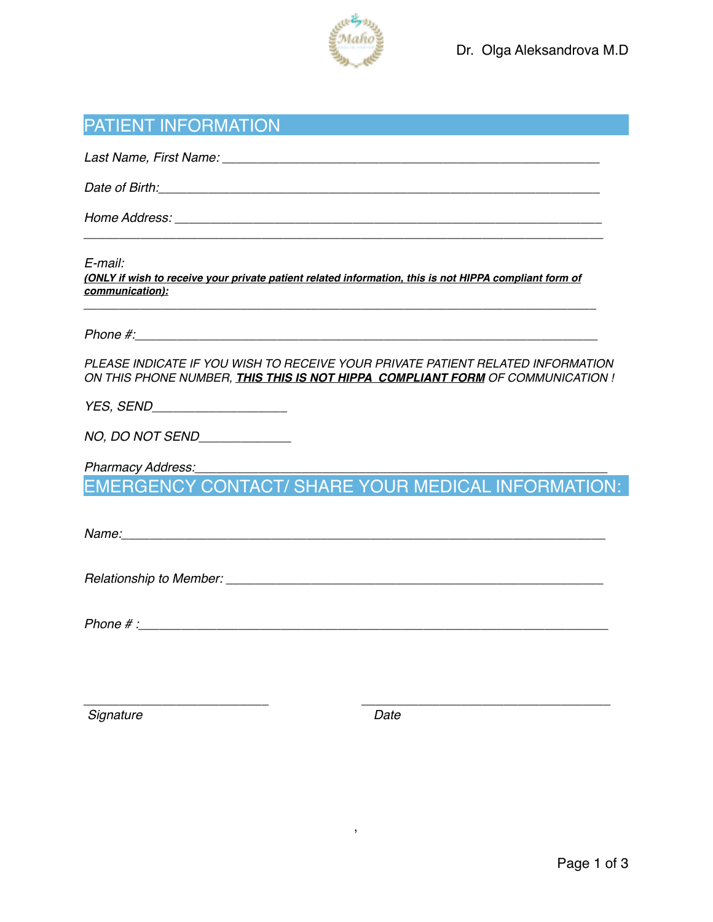

| <b>PATIENT INFORMATION</b> |  |
|----------------------------|--|
|----------------------------|--|

*Last Name, First Name: \_\_\_\_\_\_\_\_\_\_\_\_\_\_\_\_\_\_\_\_\_\_\_\_\_\_\_\_\_\_\_\_\_\_\_\_\_\_\_\_\_\_\_\_\_\_\_\_\_\_\_\_\_*

*Date of Birth:\_\_\_\_\_\_\_\_\_\_\_\_\_\_\_\_\_\_\_\_\_\_\_\_\_\_\_\_\_\_\_\_\_\_\_\_\_\_\_\_\_\_\_\_\_\_\_\_\_\_\_\_\_\_\_\_\_\_\_\_\_\_*

*Home Address: \_\_\_\_\_\_\_\_\_\_\_\_\_\_\_\_\_\_\_\_\_\_\_\_\_\_\_\_\_\_\_\_\_\_\_\_\_\_\_\_\_\_\_\_\_\_\_\_\_\_\_\_\_\_\_\_\_\_\_\_*

*E-mail:*

*(ONLY if wish to receive your private patient related information, this is not HIPPA compliant form of communication):*

*\_\_\_\_\_\_\_\_\_\_\_\_\_\_\_\_\_\_\_\_\_\_\_\_\_\_\_\_\_\_\_\_\_\_\_\_\_\_\_\_\_\_\_\_\_\_\_\_\_\_\_\_\_\_\_\_\_\_\_\_\_\_\_\_\_\_\_\_\_\_\_\_*

*\_\_\_\_\_\_\_\_\_\_\_\_\_\_\_\_\_\_\_\_\_\_\_\_\_\_\_\_\_\_\_\_\_\_\_\_\_\_\_\_\_\_\_\_\_\_\_\_\_\_\_\_\_\_\_\_\_\_\_\_\_\_\_\_\_\_\_\_\_\_\_\_\_*

*Phone #:*  $\blacksquare$ 

*PLEASE INDICATE IF YOU WISH TO RECEIVE YOUR PRIVATE PATIENT RELATED INFORMATION ON THIS PHONE NUMBER, THIS THIS IS NOT HIPPA COMPLIANT FORM OF COMMUNICATION !*

*YES, SEND\_\_\_\_\_\_\_\_\_\_\_\_\_\_\_\_\_\_\_*

*NO, DO NOT SEND\_\_\_\_\_\_\_\_\_\_\_\_\_*

*Pharmacy Address:\_\_\_\_\_\_\_\_\_\_\_\_\_\_\_\_\_\_\_\_\_\_\_\_\_\_\_\_\_\_\_\_\_\_\_\_\_\_\_\_\_\_\_\_\_\_\_\_\_\_\_\_\_\_\_\_\_\_*

EMERGENCY CONTACT/ SHARE YOUR MEDICAL INFORMATION:

*Name:* <u>*<i>n*<sub>2</sub></del> *n*<sub>2</sub> *n*<sub>2</sub> *n*<sub>2</sub> *n*<sub>2</sub> *n*<sub>2</sub> *n*<sub>2</sub> *n*<sub>2</sub> *n*<sub>2</sub> *n*<sub>2</sub> *n*<sub>2</sub> *n*<sub>2</sub> *n*<sub>2</sub> *n*<sub>2</sub> *n*<sub>2</sub> *n*<sub>2</sub> *n*2 *n*2 *n*2 *n*2 *n*2 *n*2 *n*2 *n***</u>** 

*Relationship to Member: \_\_\_\_\_\_\_\_\_\_\_\_\_\_\_\_\_\_\_\_\_\_\_\_\_\_\_\_\_\_\_\_\_\_\_\_\_\_\_\_\_\_\_\_\_\_\_\_\_\_\_\_\_*

*Phone # :\_\_\_\_\_\_\_\_\_\_\_\_\_\_\_\_\_\_\_\_\_\_\_\_\_\_\_\_\_\_\_\_\_\_\_\_\_\_\_\_\_\_\_\_\_\_\_\_\_\_\_\_\_\_\_\_\_\_\_\_\_\_\_\_\_\_*

*\_\_\_\_\_\_\_\_\_\_\_\_\_\_\_\_\_\_\_\_\_\_\_\_\_\_ \_\_\_\_\_\_\_\_\_\_\_\_\_\_\_\_\_\_\_\_\_\_\_\_\_\_\_\_\_\_\_\_\_\_\_*

,

*Signature* Date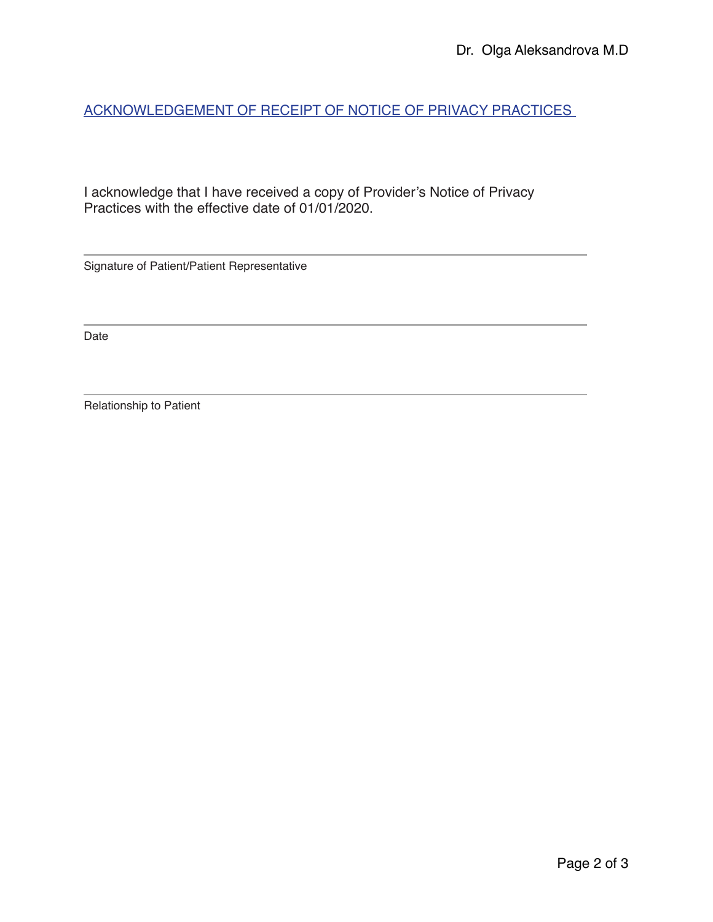ACKNOWLEDGEMENT OF RECEIPT OF NOTICE OF PRIVACY PRACTICES

I acknowledge that I have received a copy of Provider's Notice of Privacy Practices with the effective date of 01/01/2020.

Signature of Patient/Patient Representative

Date

Relationship to Patient